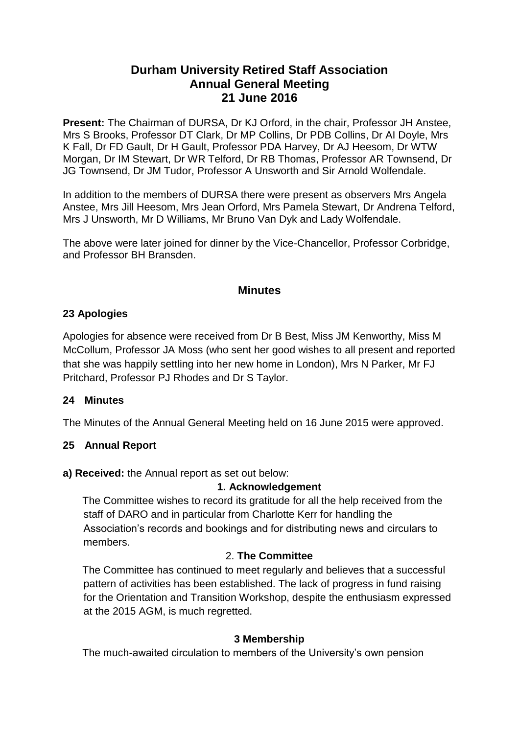# **Durham University Retired Staff Association Annual General Meeting 21 June 2016**

**Present:** The Chairman of DURSA, Dr KJ Orford, in the chair, Professor JH Anstee, Mrs S Brooks, Professor DT Clark, Dr MP Collins, Dr PDB Collins, Dr AI Doyle, Mrs K Fall, Dr FD Gault, Dr H Gault, Professor PDA Harvey, Dr AJ Heesom, Dr WTW Morgan, Dr IM Stewart, Dr WR Telford, Dr RB Thomas, Professor AR Townsend, Dr JG Townsend, Dr JM Tudor, Professor A Unsworth and Sir Arnold Wolfendale.

In addition to the members of DURSA there were present as observers Mrs Angela Anstee, Mrs Jill Heesom, Mrs Jean Orford, Mrs Pamela Stewart, Dr Andrena Telford, Mrs J Unsworth, Mr D Williams, Mr Bruno Van Dyk and Lady Wolfendale.

The above were later joined for dinner by the Vice-Chancellor, Professor Corbridge, and Professor BH Bransden.

# **Minutes**

### **23 Apologies**

Apologies for absence were received from Dr B Best, Miss JM Kenworthy, Miss M McCollum, Professor JA Moss (who sent her good wishes to all present and reported that she was happily settling into her new home in London), Mrs N Parker, Mr FJ Pritchard, Professor PJ Rhodes and Dr S Taylor.

### **24 Minutes**

The Minutes of the Annual General Meeting held on 16 June 2015 were approved.

### **25 Annual Report**

#### **a) Received:** the Annual report as set out below:

#### **1. Acknowledgement**

The Committee wishes to record its gratitude for all the help received from the staff of DARO and in particular from Charlotte Kerr for handling the Association's records and bookings and for distributing news and circulars to members.

### 2. **The Committee**

The Committee has continued to meet regularly and believes that a successful pattern of activities has been established. The lack of progress in fund raising for the Orientation and Transition Workshop, despite the enthusiasm expressed at the 2015 AGM, is much regretted.

### **3 Membership**

The much-awaited circulation to members of the University's own pension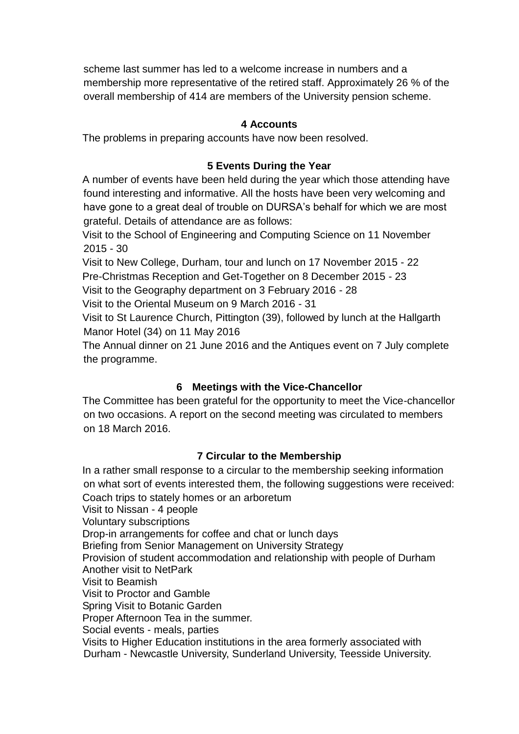scheme last summer has led to a welcome increase in numbers and a membership more representative of the retired staff. Approximately 26 % of the overall membership of 414 are members of the University pension scheme.

#### **4 Accounts**

The problems in preparing accounts have now been resolved.

#### **5 Events During the Year**

A number of events have been held during the year which those attending have found interesting and informative. All the hosts have been very welcoming and have gone to a great deal of trouble on DURSA's behalf for which we are most grateful. Details of attendance are as follows:

Visit to the School of Engineering and Computing Science on 11 November 2015 - 30

Visit to New College, Durham, tour and lunch on 17 November 2015 - 22 Pre-Christmas Reception and Get-Together on 8 December 2015 - 23

Visit to the Geography department on 3 February 2016 - 28

Visit to the Oriental Museum on 9 March 2016 - 31

Visit to St Laurence Church, Pittington (39), followed by lunch at the Hallgarth Manor Hotel (34) on 11 May 2016

The Annual dinner on 21 June 2016 and the Antiques event on 7 July complete the programme.

### **6 Meetings with the Vice-Chancellor**

The Committee has been grateful for the opportunity to meet the Vice-chancellor on two occasions. A report on the second meeting was circulated to members on 18 March 2016.

### **7 Circular to the Membership**

In a rather small response to a circular to the membership seeking information on what sort of events interested them, the following suggestions were received: Coach trips to stately homes or an arboretum Visit to Nissan - 4 people Voluntary subscriptions Drop-in arrangements for coffee and chat or lunch days Briefing from Senior Management on University Strategy Provision of student accommodation and relationship with people of Durham Another visit to NetPark Visit to Beamish Visit to Proctor and Gamble Spring Visit to Botanic Garden Proper Afternoon Tea in the summer. Social events - meals, parties Visits to Higher Education institutions in the area formerly associated with Durham - Newcastle University, Sunderland University, Teesside University.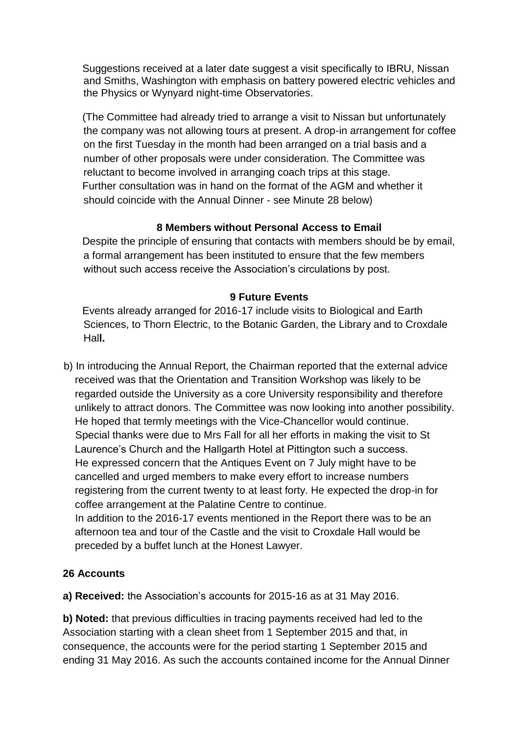Suggestions received at a later date suggest a visit specifically to IBRU, Nissan and Smiths, Washington with emphasis on battery powered electric vehicles and the Physics or Wynyard night-time Observatories.

(The Committee had already tried to arrange a visit to Nissan but unfortunately the company was not allowing tours at present. A drop-in arrangement for coffee on the first Tuesday in the month had been arranged on a trial basis and a number of other proposals were under consideration. The Committee was reluctant to become involved in arranging coach trips at this stage. Further consultation was in hand on the format of the AGM and whether it should coincide with the Annual Dinner - see Minute 28 below)

### **8 Members without Personal Access to Email**

Despite the principle of ensuring that contacts with members should be by email, a formal arrangement has been instituted to ensure that the few members without such access receive the Association's circulations by post.

## **9 Future Events**

Events already arranged for 2016-17 include visits to Biological and Earth Sciences, to Thorn Electric, to the Botanic Garden, the Library and to Croxdale Hal**l.**

b) In introducing the Annual Report, the Chairman reported that the external advice received was that the Orientation and Transition Workshop was likely to be regarded outside the University as a core University responsibility and therefore unlikely to attract donors. The Committee was now looking into another possibility. He hoped that termly meetings with the Vice-Chancellor would continue. Special thanks were due to Mrs Fall for all her efforts in making the visit to St Laurence's Church and the Hallgarth Hotel at Pittington such a success. He expressed concern that the Antiques Event on 7 July might have to be cancelled and urged members to make every effort to increase numbers registering from the current twenty to at least forty. He expected the drop-in for coffee arrangement at the Palatine Centre to continue. In addition to the 2016-17 events mentioned in the Report there was to be an afternoon tea and tour of the Castle and the visit to Croxdale Hall would be preceded by a buffet lunch at the Honest Lawyer.

### **26 Accounts**

**a) Received:** the Association's accounts for 2015-16 as at 31 May 2016.

**b) Noted:** that previous difficulties in tracing payments received had led to the Association starting with a clean sheet from 1 September 2015 and that, in consequence, the accounts were for the period starting 1 September 2015 and ending 31 May 2016. As such the accounts contained income for the Annual Dinner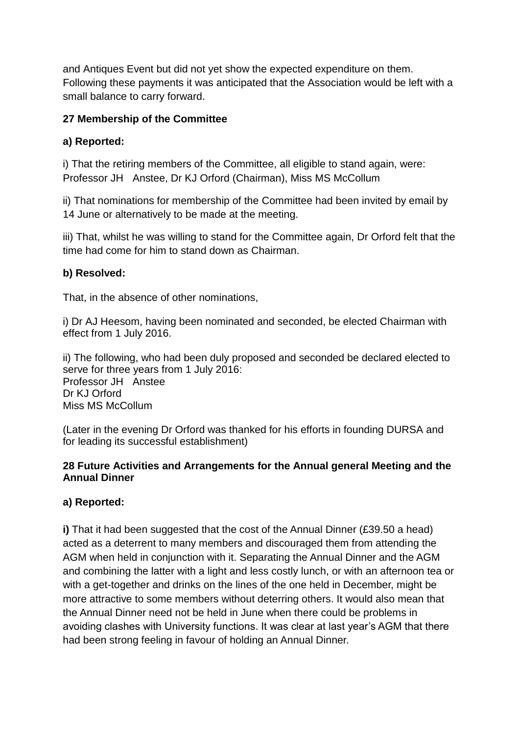and Antiques Event but did not yet show the expected expenditure on them. Following these payments it was anticipated that the Association would be left with a small balance to carry forward.

### **27 Membership of the Committee**

## **a) Reported:**

i) That the retiring members of the Committee, all eligible to stand again, were: Professor JH Anstee, Dr KJ Orford (Chairman), Miss MS McCollum

ii) That nominations for membership of the Committee had been invited by email by 14 June or alternatively to be made at the meeting.

iii) That, whilst he was willing to stand for the Committee again, Dr Orford felt that the time had come for him to stand down as Chairman.

# **b) Resolved:**

That, in the absence of other nominations,

i) Dr AJ Heesom, having been nominated and seconded, be elected Chairman with effect from 1 July 2016.

ii) The following, who had been duly proposed and seconded be declared elected to serve for three years from 1 July 2016: Professor JH Anstee Dr KJ Orford Miss MS McCollum

(Later in the evening Dr Orford was thanked for his efforts in founding DURSA and for leading its successful establishment)

### **28 Future Activities and Arrangements for the Annual general Meeting and the Annual Dinner**

### **a) Reported:**

**i)** That it had been suggested that the cost of the Annual Dinner (£39.50 a head) acted as a deterrent to many members and discouraged them from attending the AGM when held in conjunction with it. Separating the Annual Dinner and the AGM and combining the latter with a light and less costly lunch, or with an afternoon tea or with a get-together and drinks on the lines of the one held in December, might be more attractive to some members without deterring others. It would also mean that the Annual Dinner need not be held in June when there could be problems in avoiding clashes with University functions. It was clear at last year's AGM that there had been strong feeling in favour of holding an Annual Dinner.